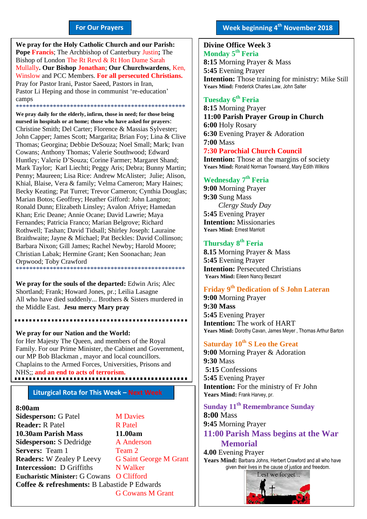#### **For Our Prayers**

arted Mullally**. Our Bishop Jonathan**; **Our Churchwardens**, Ken, **We pray for the Holy Catholic Church and our Parish: Pope Francis**; The Archbishop of Canterbury Justin**;** The Bishop of London The Rt Revd & Rt Hon Dame Sarah Winslow and PCC Members. **For all persecuted Christians.** Pray for Pastor Irani, Pastor Saeed, Pastors in Iran, Pastor Li Heping and those in communist 're-education' camps \*\*\*\*\*\*\*\*\*\*\*\*\*\*\*\*\*\*\*\*\*\*\*\*\*\*\*\*\*\*\*\*\*\*\*\*\*\*\*\*\*\*\*\*\*\*\*\*\*\*

**We pray daily for the elderly, infirm, those in need; for those being nursed in hospitals or at home; those who have asked for prayers**: Christine Smith; Del Carter; Florence & Massias Sylvester; John Capper; James Scott; Margarita; Brian Foy; Lina & Clive Thomas; Georgina; Debbie DeSouza; Noel Small; Mark; Ivan Cowans; Anthony Thomas; Valerie Southwood; Edward Huntley; Valerie D'Souza; Corine Farmer; Margaret Shand; Mark Taylor; Karl Liechti; Peggy Aris; Debra; Bunny Martin; Penny; Maureen; Lisa Rice: Andrew McAlister; Julie; Alison, Khial, Blaise, Vera & family; Velma Cameron; Mary Haines; Becky Keating; Pat Turret; Trevor Cameron; Cynthia Douglas; Marian Botos; Geoffrey; Heather Gifford: John Langton; Ronald Dunn; Elizabeth Linsley; Avalon Afriye; Hamedan Khan; Eric Deane; Annie Ocane; David Lawrie; Maya Fernandes; Patricia Franco; Marian Belgrove; Richard Rothwell; Tashan; David Tidsall; Shirley Joseph: Lauraine Braithwaite; Jayne & Michael; Pat Beckles: David Collinson; Barbara Nixon; Gill James; Rachel Newby; Harold Moore; Christian Labak; Hermine Grant; Ken Soonachan; Jean Orpwood; Toby Crawford \*\*\*\*\*\*\*\*\*\*\*\*\*\*\*\*\*\*\*\*\*\*\*\*\*\*\*\*\*\*\*\*\*\*\*\*\*\*\*\*\*\*\*\*\*\*\*\*\*\*

**We pray for the souls of the departed:** Edwin Aris; Alec Shortland; Frank; Howard Jones, pr.; Leilia Lasagne All who have died suddenly... Brothers & Sisters murdered in the Middle East. **Jesu mercy Mary pray**

**We pray for our Nation and the World:** for Her Majesty The Queen, and members of the Royal Family. For our Prime Minister, the Cabinet and Government, our MP Bob Blackman , mayor and local councillors. Chaplains to the Armed Forces, Universities, Prisons and NHS;; **and an end to acts of terrorism.**

#### **Liturgical Rota for This Week – Next Week**

#### **8:00am**

**Sidesperson:** G Patel **M Davies Reader:** R Patel R Patel **10.30am Parish Mass 11.00am Sidesperson:** S Dedridge A Anderson **Servers:** Team 1 Team 2 **Readers:** W Zealey P Leevy G Saint George M Grant **Intercession:** D Griffiths N Walker **Eucharistic Minister:** G Cowans O Clifford **Coffee & refreshments:** B Labastide P Edwards G Cowans M Grant

#### **Divine Office Week 3 Monday 5 th Feria**

**8:15** Morning Prayer & Mass **5:45** Evening Prayer **Intention:** Those training for ministry: Mike Still **Years Mind:** Frederick Charles Law, John Salter

#### **Tuesday 6 th Feria**

**8:15** Morning Prayer **11:00 Parish Prayer Group in Church 6:00** Holy Rosary **6:30** Evening Prayer & Adoration **7:00** Mass **7:30 Parochial Church Council**

**Intention:** Those at the margins of society Years Mind: Ronald Norman Townsend, Mary Edith Wilkins

#### **Wednesday 7 th Feria**

**9:00** Morning Prayer **9:30** Sung Mass *Clergy Study Day* **5:45** Evening Prayer **Intention:** Missionaries **Years Mind:** Ernest Marriott

#### **Thursday 8 th Feria**

**8.15** Morning Prayer & Mass **5:45** Evening Prayer **Intention:** Persecuted Christians **Years Mind:** Eileen Nancy Beszant

#### **Friday 9 th Dedication of S John Lateran**

**9:00** Morning Prayer **9:30 Mass 5:45** Evening Prayer **Intention:** The work of HART **Years Mind:** Dorothy Cavan, James Meyer , Thomas Arthur Barton

#### **Saturday 10th S Leo the Great**

**9:00** Morning Prayer & Adoration **9:30** Mass **5:15** Confessions **5:45** Evening Prayer **Intention:** For the ministry of Fr John Years Mind: Frank Harvey, pr.

#### **Sunday 11th Remembrance Sunday**

**8:00** Mass **9:45** Morning Prayer **11:00 Parish Mass begins at the War Memorial**

**4.00** Evening Prayer Years Mind: Barbara Johns, Herbert Crawford and all who have given their lives in the cause of justice and freedom.

Lest we forget...